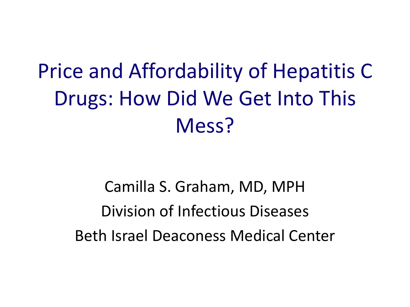## Price and Affordability of Hepatitis C Drugs: How Did We Get Into This Mess?

Camilla S. Graham, MD, MPH Division of Infectious Diseases Beth Israel Deaconess Medical Center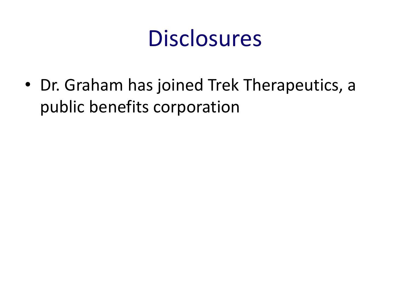

• Dr. Graham has joined Trek Therapeutics, a public benefits corporation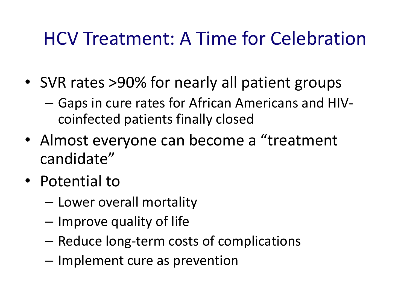## HCV Treatment: A Time for Celebration

- SVR rates > 90% for nearly all patient groups
	- Gaps in cure rates for African Americans and HIVcoinfected patients finally closed
- Almost everyone can become a "treatment candidate"
- Potential to
	- Lower overall mortality
	- Improve quality of life
	- Reduce long-term costs of complications
	- Implement cure as prevention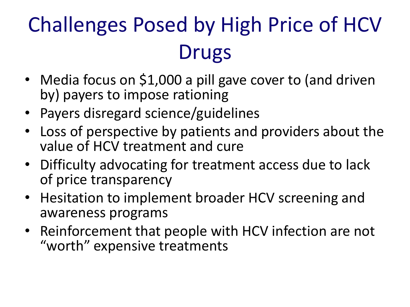# Challenges Posed by High Price of HCV Drugs

- Media focus on \$1,000 a pill gave cover to (and driven by) payers to impose rationing
- Payers disregard science/guidelines
- Loss of perspective by patients and providers about the value of HCV treatment and cure
- Difficulty advocating for treatment access due to lack of price transparency
- Hesitation to implement broader HCV screening and awareness programs
- Reinforcement that people with HCV infection are not "worth" expensive treatments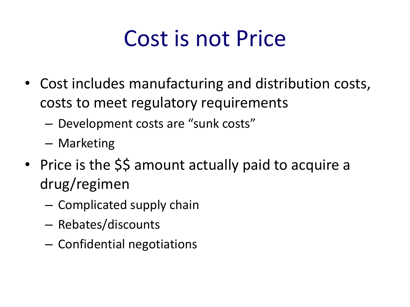# Cost is not Price

- Cost includes manufacturing and distribution costs, costs to meet regulatory requirements
	- Development costs are "sunk costs"
	- Marketing
- Price is the \$\$ amount actually paid to acquire a drug/regimen
	- Complicated supply chain
	- Rebates/discounts
	- Confidential negotiations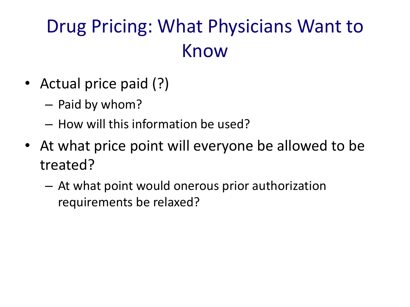## Drug Pricing: What Physicians Want to Know

- Actual price paid (?)
	- Paid by whom?
	- How will this information be used?
- At what price point will everyone be allowed to be treated?
	- At what point would onerous prior authorization requirements be relaxed?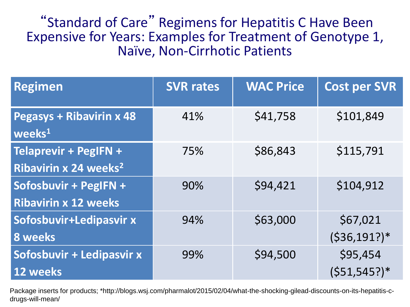"Standard of Care" Regimens for Hepatitis C Have Been Expensive for Years: Examples for Treatment of Genotype 1, Naïve, Non-Cirrhotic Patients

| <b>Regimen</b>                                             | <b>SVR rates</b> | <b>WAC Price</b> | <b>Cost per SVR</b>         |
|------------------------------------------------------------|------------------|------------------|-----------------------------|
| <b>Pegasys + Ribavirin x 48</b><br>weeks <sup>1</sup>      | 41%              | \$41,758         | \$101,849                   |
| Telaprevir + PegIFN +<br>Ribavirin x 24 weeks <sup>2</sup> | 75%              | \$86,843         | \$115,791                   |
| Sofosbuvir + PegIFN +<br><b>Ribavirin x 12 weeks</b>       | 90%              | \$94,421         | \$104,912                   |
| Sofosbuvir+Ledipasvir x<br><b>8</b> weeks                  | 94%              | \$63,000         | \$67,021<br>$(536, 191?)$ * |
| Sofosbuvir + Ledipasvir x<br>12 weeks                      | 99%              | \$94,500         | \$95,454<br>$(551, 545?)$ * |

Package inserts for products; \*http://blogs.wsj.com/pharmalot/2015/02/04/what-the-shocking-gilead-discounts-on-its-hepatitis-cdrugs-will-mean/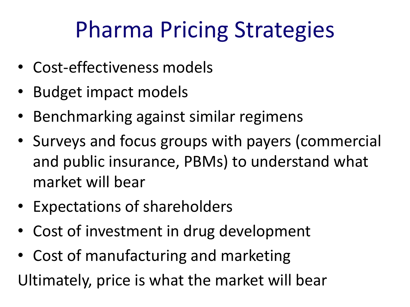# Pharma Pricing Strategies

- Cost-effectiveness models
- Budget impact models
- Benchmarking against similar regimens
- Surveys and focus groups with payers (commercial and public insurance, PBMs) to understand what market will bear
- Expectations of shareholders
- Cost of investment in drug development
- Cost of manufacturing and marketing Ultimately, price is what the market will bear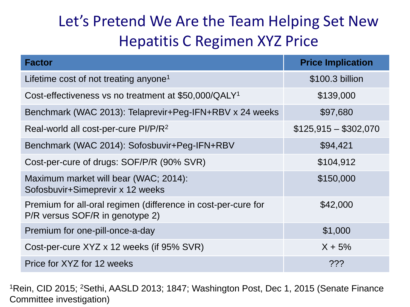### Let's Pretend We Are the Team Helping Set New Hepatitis C Regimen XYZ Price

| <b>Factor</b>                                                                                    | <b>Price Implication</b> |
|--------------------------------------------------------------------------------------------------|--------------------------|
| Lifetime cost of not treating anyone <sup>1</sup>                                                | \$100.3 billion          |
| Cost-effectiveness vs no treatment at \$50,000/QALY <sup>1</sup>                                 | \$139,000                |
| Benchmark (WAC 2013): Telaprevir+Peg-IFN+RBV x 24 weeks                                          | \$97,680                 |
| Real-world all cost-per-cure PI/P/R <sup>2</sup>                                                 | $$125,915 - $302,070$    |
| Benchmark (WAC 2014): Sofosbuvir+Peg-IFN+RBV                                                     | \$94,421                 |
| Cost-per-cure of drugs: SOF/P/R (90% SVR)                                                        | \$104,912                |
| Maximum market will bear (WAC; 2014):<br>Sofosbuvir+Simeprevir x 12 weeks                        | \$150,000                |
| Premium for all-oral regimen (difference in cost-per-cure for<br>P/R versus SOF/R in genotype 2) | \$42,000                 |
| Premium for one-pill-once-a-day                                                                  | \$1,000                  |
| Cost-per-cure XYZ x 12 weeks (if 95% SVR)                                                        | $X + 5%$                 |
| Price for XYZ for 12 weeks                                                                       | ???                      |

<sup>1</sup>Rein, CID 2015; <sup>2</sup>Sethi, AASLD 2013; 1847; Washington Post, Dec 1, 2015 (Senate Finance Committee investigation)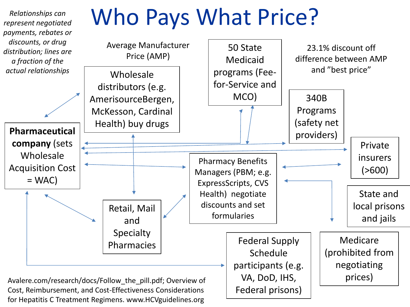

for Hepatitis C Treatment Regimens. www.HCVguidelines.org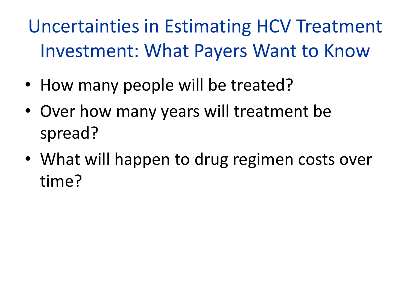Uncertainties in Estimating HCV Treatment Investment: What Payers Want to Know

- How many people will be treated?
- Over how many years will treatment be spread?
- What will happen to drug regimen costs over time?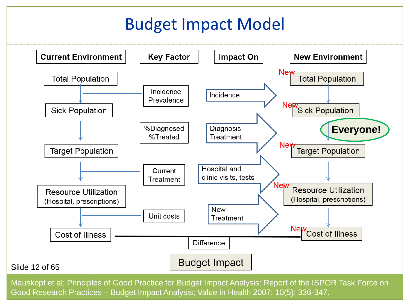### Budget Impact Model



Mauskopf et al; Principles of Good Practice for Budget Impact Analysis: Report of the ISPOR Task Force on Good Research Practices – Budget Impact Analysis; Value in Health 2007; 10(5): 336-347.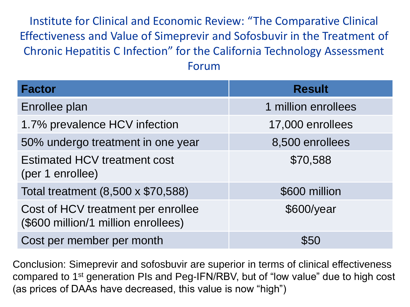Institute for Clinical and Economic Review: "The Comparative Clinical Effectiveness and Value of Simeprevir and Sofosbuvir in the Treatment of Chronic Hepatitis C Infection" for the California Technology Assessment Forum

| <b>Factor</b>                                                             | <b>Result</b>       |
|---------------------------------------------------------------------------|---------------------|
| Enrollee plan                                                             | 1 million enrollees |
| 1.7% prevalence HCV infection                                             | 17,000 enrollees    |
| 50% undergo treatment in one year                                         | 8,500 enrollees     |
| Estimated HCV treatment cost<br>(per 1 enrollee)                          | \$70,588            |
| Total treatment (8,500 x \$70,588)                                        | \$600 million       |
| Cost of HCV treatment per enrollee<br>(\$600 million/1 million enrollees) | \$600/year          |
| Cost per member per month                                                 | \$50                |

Conclusion: Simeprevir and sofosbuvir are superior in terms of clinical effectiveness compared to 1st generation PIs and Peg-IFN/RBV, but of "low value" due to high cost (as prices of DAAs have decreased, this value is now "high")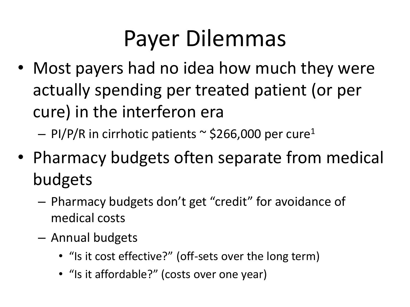# Payer Dilemmas

- Most payers had no idea how much they were actually spending per treated patient (or per cure) in the interferon era
	- $-$  PI/P/R in cirrhotic patients  $\sim$  \$266,000 per cure<sup>1</sup>
- Pharmacy budgets often separate from medical budgets
	- Pharmacy budgets don't get "credit" for avoidance of medical costs
	- Annual budgets
		- "Is it cost effective?" (off-sets over the long term)
		- "Is it affordable?" (costs over one year)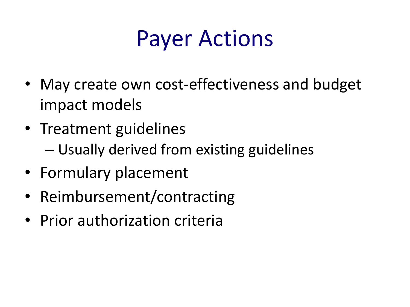## Payer Actions

- May create own cost-effectiveness and budget impact models
- Treatment guidelines – Usually derived from existing guidelines
- Formulary placement
- Reimbursement/contracting
- Prior authorization criteria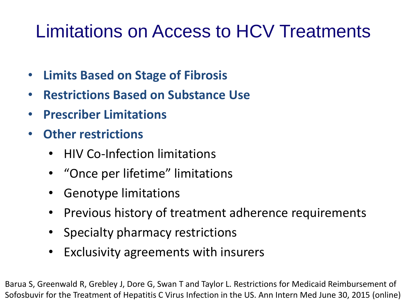### Limitations on Access to HCV Treatments

- **Limits Based on Stage of Fibrosis**
- **Restrictions Based on Substance Use**
- **Prescriber Limitations**
- **Other restrictions**
	- HIV Co-Infection limitations
	- "Once per lifetime" limitations
	- Genotype limitations
	- Previous history of treatment adherence requirements
	- Specialty pharmacy restrictions
	- Exclusivity agreements with insurers

Barua S, Greenwald R, Grebley J, Dore G, Swan T and Taylor L. Restrictions for Medicaid Reimbursement of Sofosbuvir for the Treatment of Hepatitis C Virus Infection in the US. Ann Intern Med June 30, 2015 (online)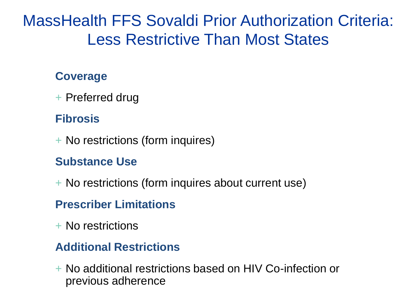### MassHealth FFS Sovaldi Prior Authorization Criteria: Less Restrictive Than Most States

#### **Coverage**

+ Preferred drug

### **Fibrosis**

+ No restrictions (form inquires)

#### **Substance Use**

+ No restrictions (form inquires about current use)

#### **Prescriber Limitations**

+ No restrictions

#### **Additional Restrictions**

+ No additional restrictions based on HIV Co-infection or previous adherence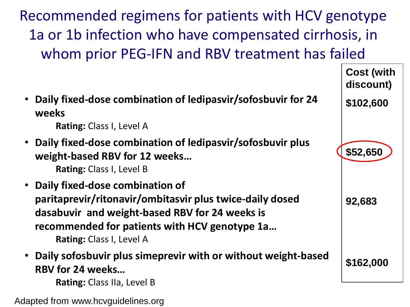Recommended regimens for patients with HCV genotype 1a or 1b infection who have compensated cirrhosis, in whom prior PEG-IFN and RBV treatment has failed



Adapted from www.hcvguidelines.org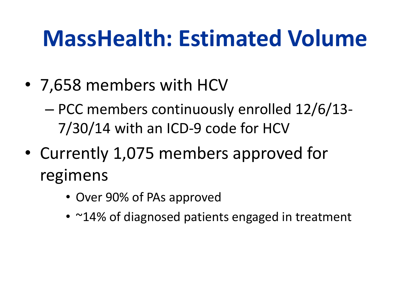# **MassHealth: Estimated Volume**

- 7,658 members with HCV
	- PCC members continuously enrolled 12/6/13- 7/30/14 with an ICD-9 code for HCV
- Currently 1,075 members approved for regimens
	- Over 90% of PAs approved
	- ~14% of diagnosed patients engaged in treatment